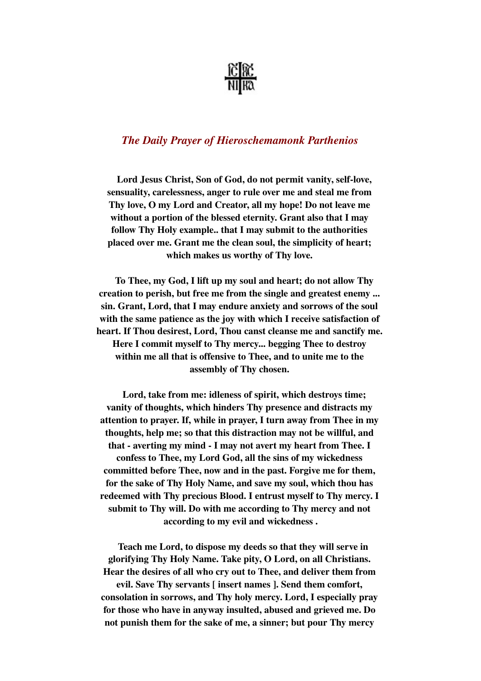

## *The Daily Prayer of Hieroschemamonk Parthenios*

Lord Jesus Christ, Son of God, do not permit vanity, self-love, sensuality, carelessness, anger to rule over me and steal me from Thy love, O my Lord and Creator, all my hope! Do not leave me without a portion of the blessed eternity. Grant also that I may follow Thy Holy example.. that I may submit to the authorities placed over me. Grant me the clean soul, the simplicity of heart; which makes us worthy of Thy love.

 To Thee, my God, I lift up my soul and heart; do not allow Thy creation to perish, but free me from the single and greatest enemy ... sin. Grant, Lord, that I may endure anxiety and sorrows of the soul with the same patience as the joy with which I receive satisfaction of heart. If Thou desirest, Lord, Thou canst cleanse me and sanctify me. Here I commit myself to Thy mercy... begging Thee to destroy within me all that is offensive to Thee, and to unite me to the assembly of Thy chosen.

 Lord, take from me: idleness of spirit, which destroys time; vanity of thoughts, which hinders Thy presence and distracts my attention to prayer. If, while in prayer, I turn away from Thee in my thoughts, help me; so that this distraction may not be willful, and that - averting my mind - I may not avert my heart from Thee. I confess to Thee, my Lord God, all the sins of my wickedness committed before Thee, now and in the past. Forgive me for them, for the sake of Thy Holy Name, and save my soul, which thou has redeemed with Thy precious Blood. I entrust myself to Thy mercy. I submit to Thy will. Do with me according to Thy mercy and not according to my evil and wickedness .

 Teach me Lord, to dispose my deeds so that they will serve in glorifying Thy Holy Name. Take pity, O Lord, on all Christians. Hear the desires of all who cry out to Thee, and deliver them from evil. Save Thy servants [ insert names ]. Send them comfort, consolation in sorrows, and Thy holy mercy. Lord, I especially pray for those who have in anyway insulted, abused and grieved me. Do not punish them for the sake of me, a sinner; but pour Thy mercy